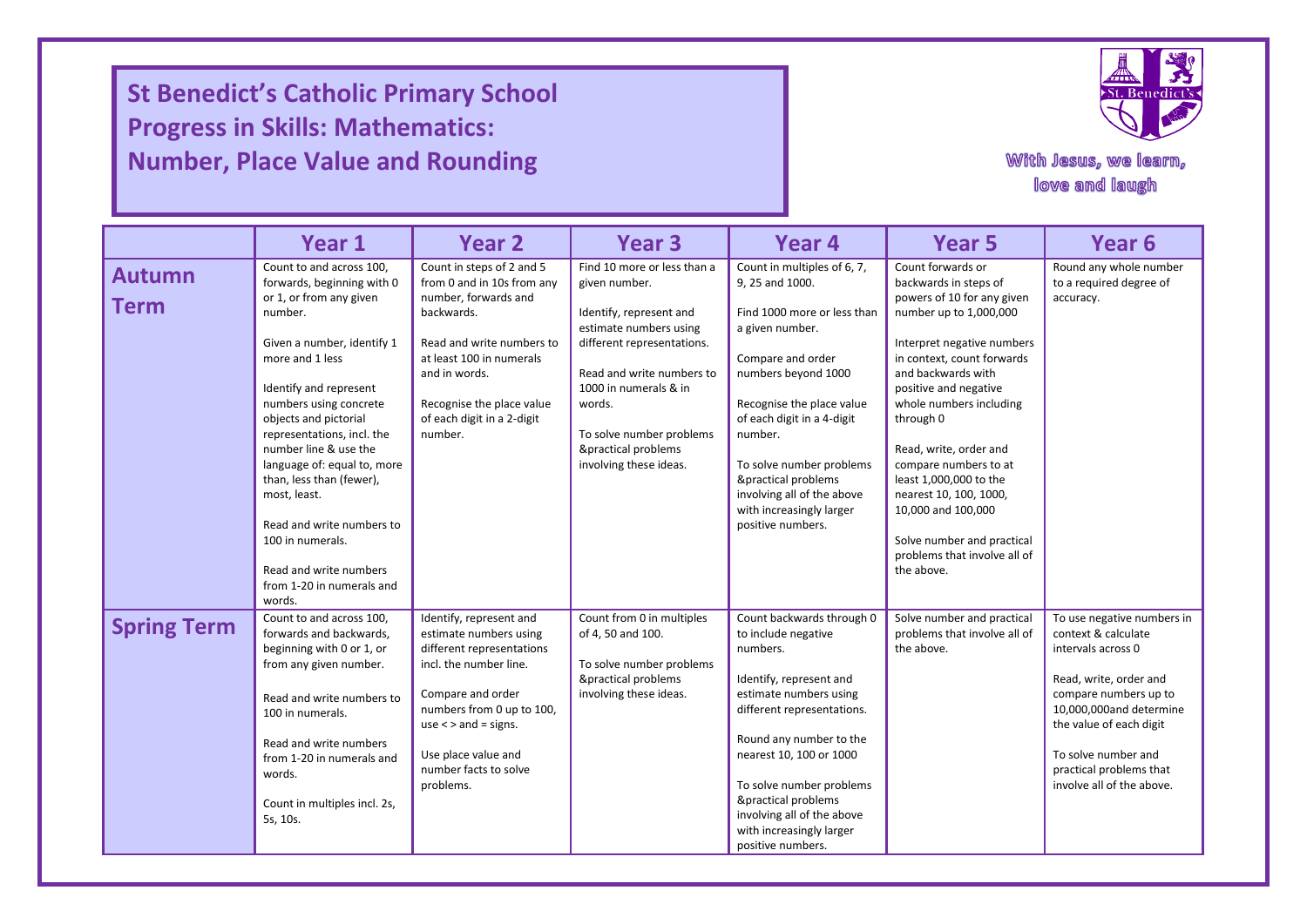## **St Benedict's Catholic Primary School Progress in Skills: Mathematics: Number, Place Value and Rounding**

I

I

I



With Jesus, we learn, love and laugh

|                              | Year 1                                                                                                                                                                                                                                                                                                                                                                                                                                                                         | <b>Year 2</b>                                                                                                                                                                                                                                       | Year <sub>3</sub>                                                                                                                                                                                                                                                            | Year 4                                                                                                                                                                                                                                                                                                                                              | Year <sub>5</sub>                                                                                                                                                                                                                                                                                                                                                                                                                                              | Year <sub>6</sub>                                                                                                                                                                                                                                               |  |
|------------------------------|--------------------------------------------------------------------------------------------------------------------------------------------------------------------------------------------------------------------------------------------------------------------------------------------------------------------------------------------------------------------------------------------------------------------------------------------------------------------------------|-----------------------------------------------------------------------------------------------------------------------------------------------------------------------------------------------------------------------------------------------------|------------------------------------------------------------------------------------------------------------------------------------------------------------------------------------------------------------------------------------------------------------------------------|-----------------------------------------------------------------------------------------------------------------------------------------------------------------------------------------------------------------------------------------------------------------------------------------------------------------------------------------------------|----------------------------------------------------------------------------------------------------------------------------------------------------------------------------------------------------------------------------------------------------------------------------------------------------------------------------------------------------------------------------------------------------------------------------------------------------------------|-----------------------------------------------------------------------------------------------------------------------------------------------------------------------------------------------------------------------------------------------------------------|--|
| <b>Autumn</b><br><b>Term</b> | Count to and across 100,<br>forwards, beginning with 0<br>or 1, or from any given<br>number.<br>Given a number, identify 1<br>more and 1 less<br>Identify and represent<br>numbers using concrete<br>objects and pictorial<br>representations, incl. the<br>number line & use the<br>language of: equal to, more<br>than, less than (fewer),<br>most, least.<br>Read and write numbers to<br>100 in numerals.<br>Read and write numbers<br>from 1-20 in numerals and<br>words. | Count in steps of 2 and 5<br>from 0 and in 10s from any<br>number, forwards and<br>backwards.<br>Read and write numbers to<br>at least 100 in numerals<br>and in words.<br>Recognise the place value<br>of each digit in a 2-digit<br>number.       | Find 10 more or less than a<br>given number.<br>Identify, represent and<br>estimate numbers using<br>different representations.<br>Read and write numbers to<br>1000 in numerals & in<br>words.<br>To solve number problems<br>&practical problems<br>involving these ideas. | Count in multiples of 6, 7,<br>9.25 and 1000.<br>Find 1000 more or less than<br>a given number.<br>Compare and order<br>numbers beyond 1000<br>Recognise the place value<br>of each digit in a 4-digit<br>number.<br>To solve number problems<br>&practical problems<br>involving all of the above<br>with increasingly larger<br>positive numbers. | Count forwards or<br>backwards in steps of<br>powers of 10 for any given<br>number up to 1,000,000<br>Interpret negative numbers<br>in context, count forwards<br>and backwards with<br>positive and negative<br>whole numbers including<br>through 0<br>Read, write, order and<br>compare numbers to at<br>least 1,000,000 to the<br>nearest 10, 100, 1000,<br>10,000 and 100,000<br>Solve number and practical<br>problems that involve all of<br>the above. | Round any whole number<br>to a required degree of<br>accuracy.                                                                                                                                                                                                  |  |
| <b>Spring Term</b>           | Count to and across 100,<br>forwards and backwards,<br>beginning with 0 or 1, or<br>from any given number.<br>Read and write numbers to<br>100 in numerals.<br>Read and write numbers<br>from 1-20 in numerals and<br>words.<br>Count in multiples incl. 2s,<br>5s, 10s.                                                                                                                                                                                                       | Identify, represent and<br>estimate numbers using<br>different representations<br>incl. the number line.<br>Compare and order<br>numbers from 0 up to 100,<br>use $\lt$ > and = signs.<br>Use place value and<br>number facts to solve<br>problems. | Count from 0 in multiples<br>of 4, 50 and 100.<br>To solve number problems<br>&practical problems<br>involving these ideas.                                                                                                                                                  | Count backwards through 0<br>to include negative<br>numbers.<br>Identify, represent and<br>estimate numbers using<br>different representations.<br>Round any number to the<br>nearest 10, 100 or 1000<br>To solve number problems<br>&practical problems<br>involving all of the above<br>with increasingly larger<br>positive numbers.             | Solve number and practical<br>problems that involve all of<br>the above.                                                                                                                                                                                                                                                                                                                                                                                       | To use negative numbers in<br>context & calculate<br>intervals across 0<br>Read, write, order and<br>compare numbers up to<br>10,000,000and determine<br>the value of each digit<br>To solve number and<br>practical problems that<br>involve all of the above. |  |